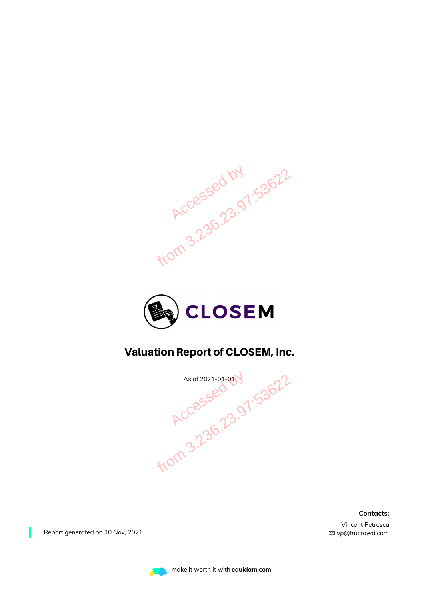



#### Valuation Report of CLOSEM, Inc.

As of 2021-01-01 V<br>RCCessed 07:53622

**Contacts:**

Vincent Petrescu *vp@trucrowd.com*

Report generated on 10 Nov, 2021

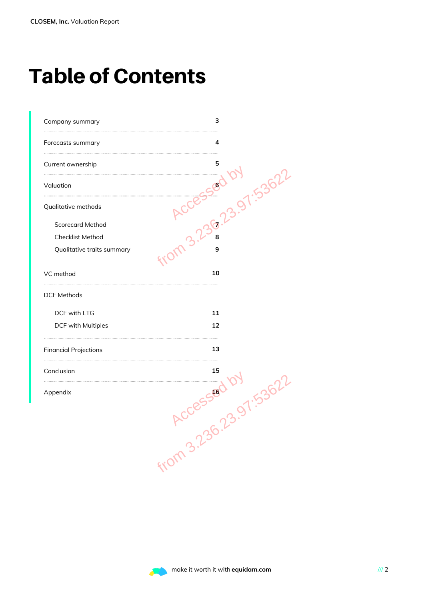### Table of Contents

| Company summary              | 3                   |
|------------------------------|---------------------|
| Forecasts summary            | 4                   |
| Current ownership            | 5                   |
| Valuation                    |                     |
| Qualitative methods          |                     |
| <b>Scorecard Method</b>      |                     |
| Checklist Method             |                     |
| Qualitative traits summary   | 9                   |
| VC method                    | 10                  |
| <b>DCF Methods</b>           |                     |
| DCF with LTG                 | 11                  |
| DCF with Multiples           | 12                  |
| <b>Financial Projections</b> | 13                  |
| Conclusion                   | 15                  |
| Appendix                     | .53622<br>16        |
|                              | $\dot{\mathcal{Q}}$ |
|                              | from 3.23r          |
|                              |                     |
|                              |                     |
|                              |                     |

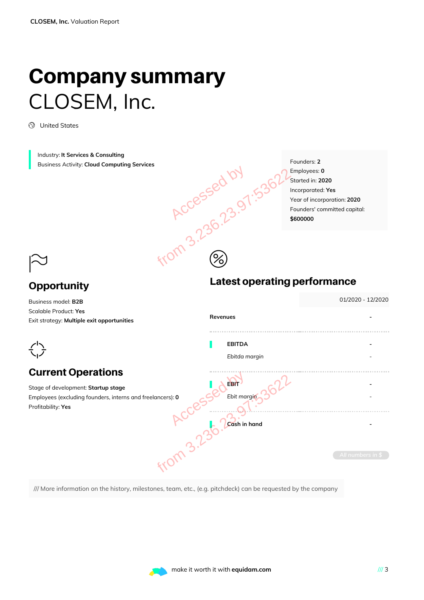### Company summary CLOSEM, Inc.

United States

Industry: **It Services & Consulting** Business Activity: **Cloud Computing Services**

Founders: **2** Employees: **0** Started in: **2020** Incorporated: **Yes** Year of incorporation: **2020** Founders' committed capital: **\$600000**

01/2020 - 12/2020

#### $\approx$ **Opportunity**

#### Business model: **B2B** Scalable Product: **Yes**

# Latest operating performance Accessed by 1.53622

| Scalable Product: Yes<br>Exit strategy: Multiple exit opportunities                                                                                  | Revenues                                                        |
|------------------------------------------------------------------------------------------------------------------------------------------------------|-----------------------------------------------------------------|
|                                                                                                                                                      | <b>EBITDA</b><br>Ebitda margin                                  |
| <b>Current Operations</b><br>Stage of development: Startup stage<br>Employees (excluding founders, interns and freelancers): 0<br>Profitability: Yes | <b>EBIT</b><br>Ebit margin<br>Cash in hand<br>All numbers in \$ |
| /// More information on the history, milestones, team, etc., (e.g. pitchdeck) can be requested by the company                                        |                                                                 |

 $\circledS$ 

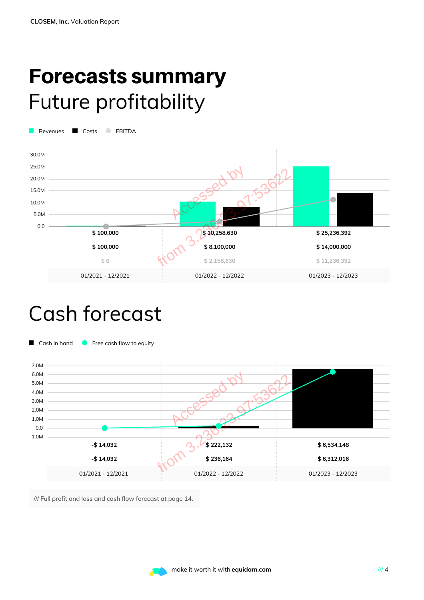### Forecasts summary Future profitability

Revenues **C** Costs **C** EBITDA



### Cash forecast



/// Full profit and loss and cash flow forecast at page 14.

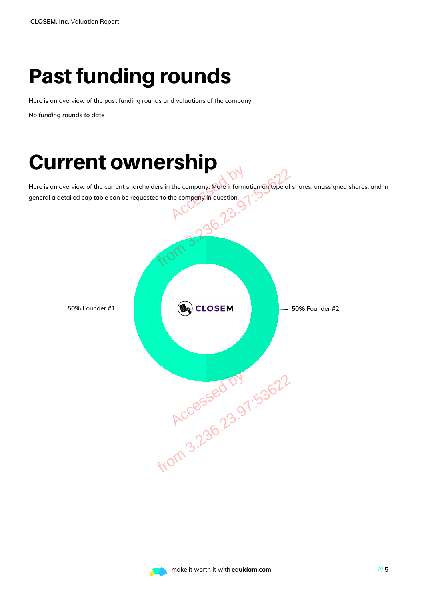### Past funding rounds

Here is an overview of the past funding rounds and valuations of the company.

*No funding rounds to date*

### Current ownership

Here is an overview of the current shareholders in the company. More information on type of shares, unassigned shares, and in general a detailed cap table can be requested to the company in question. the company. More informate



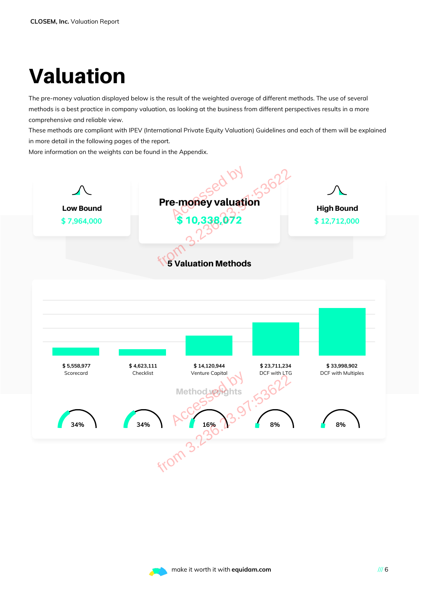### Valuation

The pre-money valuation displayed below is the result of the weighted average of different methods. The use of several methods is a best practice in company valuation, as looking at the business from different perspectives results in a more comprehensive and reliable view.

These methods are compliant with IPEV (International Private Equity Valuation) Guidelines and each of them will be explained in more detail in the following pages of the report.

More information on the weights can be found in the Appendix.



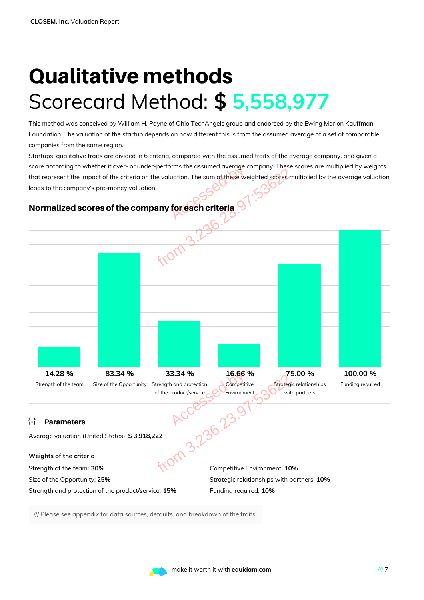### Qualitative methods Scorecard Method: **\$ 5,558,977**

This method was conceived by William H. Payne of Ohio TechAngels group and endorsed by the Ewing Marion Kauffman Foundation. The valuation of the startup depends on how different this is from the assumed average of a set of comparable companies from the same region.

Startups' qualitative traits are divided in 6 criteria, compared with the assumed traits of the average company, and given a score according to whether it over- or under-performs the assumed average company. These scores are multiplied by weights that represent the impact of the criteria on the valuation. The sum o<mark>f thes</mark>e weighted scores multiplied by the average valuation leads to the company's pre-money valuation. by the same of these were controlled by the same of these were controlled by the same of the series of the same of the series of the series of the series of the series of the series of the series of the series of the serie



#### Normalized scores of the company for each criteria

/// Please see appendix for data sources, defaults, and breakdown of the traits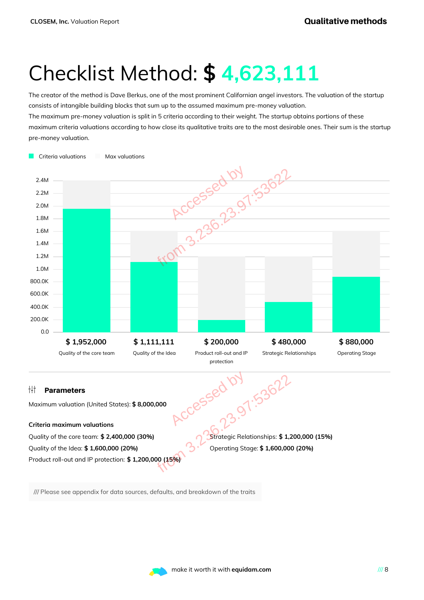### Checklist Method: **\$ 4,623,111**

The creator of the method is Dave Berkus, one of the most prominent Californian angel investors. The valuation of the startup consists of intangible building blocks that sum up to the assumed maximum pre-money valuation. The maximum pre-money valuation is split in 5 criteria according to their weight. The startup obtains portions of these maximum criteria valuations according to how close its qualitative traits are to the most desirable ones. Their sum is the startup pre-money valuation.



/// Please see appendix for data sources, defaults, and breakdown of the traits

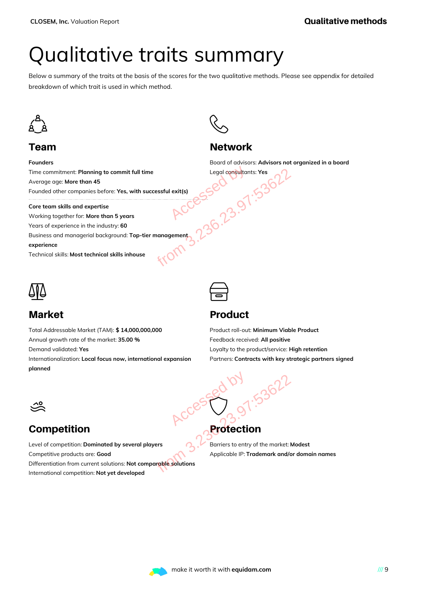### Qualitative traits summary

Below a summary of the traits at the basis of the scores for the two qualitative methods. Please see appendix for detailed breakdown of which trait is used in which method.



#### Team

**Founders**



#### **Network**

Board of advisors: **Advisors not organized in a board** Legal consultants: **Yes**

Time commitment: **Planning to commit full time** Average age: **More than 45** Founded other companies before: **Yes, with successful exit(s)** Full time<br>
With successful exit(s)<br>
Solar RCCESSED<br>
Solar RCCESSED<br>
Solar RCCESSED<br>
Solar RCCESSED<br>
Solar RCCESSED<br>
Solar RCCESSED<br>
Solar RCCESSED<br>
Solar RCCESSED<br>
Solar RCCESSED<br>
Solar RCCESSED<br>
Solar RCCESSED<br>
Solar RCCE

**Core team skills and expertise**

Working together for: **More than 5 years**

Years of experience in the industry: **60**

Business and managerial background: **Top-tier management**

**experience**

Technical skills: **Most technical skills inhouse**



#### Market

Total Addressable Market (TAM): **\$ 14,000,000,000** Annual growth rate of the market: **35.00 %** Demand validated: **Yes**

Internationalization: **Local focus now, international expansion planned**

#### Product

Product roll-out: **Minimum Viable Product** Feedback received: **All positive** Loyalty to the product/service: **High retention** Partners: **Contracts with key strategic partners signed**



#### Competition

Level of competition: **Dominated by several players** Competitive products are: **Good** Differentiation from current solutions: **Not comparable solutions** International competition: **Not yet developed** eral players<br>eral players<br>of comparable solutions<br>oped<br>able solutions<br>oped

## **Protection** Accessed by

 $\bigcirc$ 

Barriers to entry of the market: **Modest** Applicable IP: **Trademark and/or domain names**

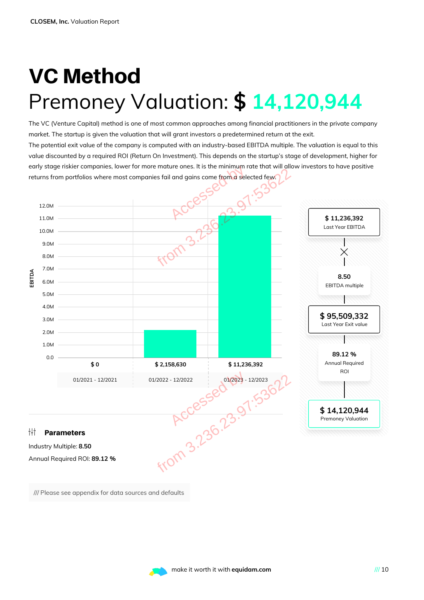### VC Method Premoney Valuation: **\$ 14,120,944**

The VC (Venture Capital) method is one of most common approaches among financial practitioners in the private company market. The startup is given the valuation that will grant investors a predetermined return at the exit. The potential exit value of the company is computed with an industry-based EBITDA multiple. The valuation is equal to this value discounted by a required ROI (Return On Investment). This depends on the startup's stage of development, higher for early stage riskier companies, lower for more mature ones. It is the minimum rate that will allow investors to have positive returns from portfolios where most companies fail and gains come from a selected few.



/// Please see appendix for data sources and defaults

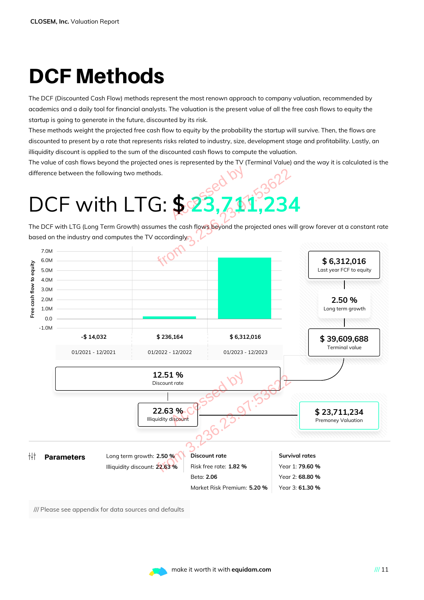### DCF Methods

The DCF (Discounted Cash Flow) methods represent the most renown approach to company valuation, recommended by academics and a daily tool for financial analysts. The valuation is the present value of all the free cash flows to equity the startup is going to generate in the future, discounted by its risk.

These methods weight the projected free cash flow to equity by the probability the startup will survive. Then, the flows are discounted to present by a rate that represents risks related to industry, size, development stage and profitability. Lastly, an illiquidity discount is applied to the sum of the discounted cash flows to compute the valuation.

The value of cash flows beyond the projected ones is represented by the TV (Terminal Value) and the way it is calculated is the difference between the following two methods.

The DCF with LTG (Long Term Growth) assumes the cash flows beyond the projected ones will grow forever at a constant rate based on the industry and computes the TV accordingly.



/// Please see appendix for data sources and defaults

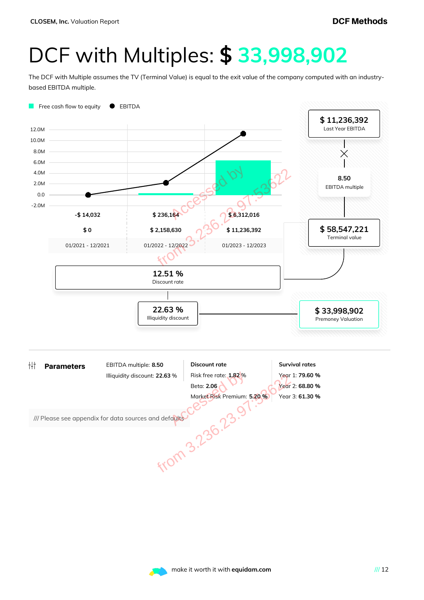### DCF with Multiples: **\$ 33,998,902**

The DCF with Multiple assumes the TV (Terminal Value) is equal to the exit value of the company computed with an industrybased EBITDA multiple.



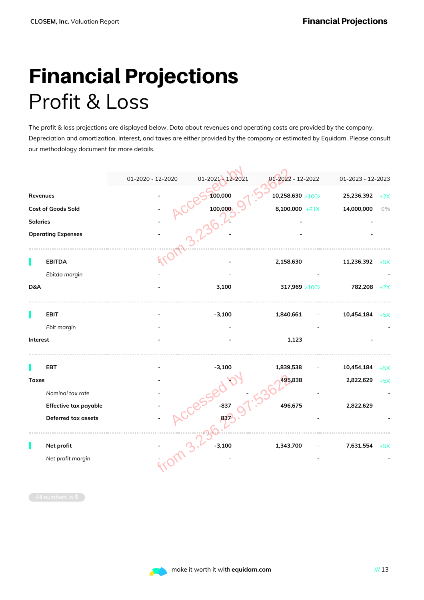### Financial Projections Profit & Loss

The profit & loss projections are displayed below. Data about revenues and operating costs are provided by the company. Depreciation and amortization, interest, and taxes are either provided by the company or estimated by Equidam. Please consult our methodology document for more details.

|                 |                           | 01-2020 - 12-2020 | 01-2021 - 12-2021 | 01-2022 - 12-2022 | 01-2023 - 12-2023   |
|-----------------|---------------------------|-------------------|-------------------|-------------------|---------------------|
| Revenues        |                           |                   | 100,000           | 10,258,630 > 100  | 25,236,392<br>$+2X$ |
|                 | Cost of Goods Sold        |                   | 100,000           | 8,100,000 $+81X$  | 14,000,000<br>$0\%$ |
| <b>Salaries</b> |                           |                   |                   |                   |                     |
|                 | <b>Operating Expenses</b> |                   |                   |                   |                     |
|                 |                           |                   |                   |                   |                     |
|                 | <b>EBITDA</b>             |                   |                   | 2,158,630         | 11,236,392<br>$+5X$ |
| D&A             | Ebitda margin             |                   | 3,100             | 317,969 > 100     | 782,208<br>$+2X$    |
|                 | <b>EBIT</b>               |                   | $-3,100$          | 1,840,661         | 10,454,184<br>$+5X$ |
|                 | Ebit margin               |                   |                   |                   |                     |
| Interest        |                           |                   |                   | 1,123             |                     |
|                 | EBT                       |                   | $-3,100$          | 1,839,538         | 10,454,184<br>$+5X$ |
| <b>Taxes</b>    |                           |                   |                   | 195,838           | 2,822,629<br>$+5X$  |
|                 | Nominal tax rate          |                   |                   |                   |                     |
|                 | Effective tax payable     |                   | $-837$            | 496,675           | 2,822,629           |
|                 | Deferred tax assets       |                   | 83.               |                   |                     |
|                 | Net profit                |                   | $-3,100$<br>מ'    | 1,343,700         | 7,631,554<br>$+5X$  |
|                 | Net profit margin         |                   |                   |                   |                     |
|                 |                           |                   |                   |                   |                     |

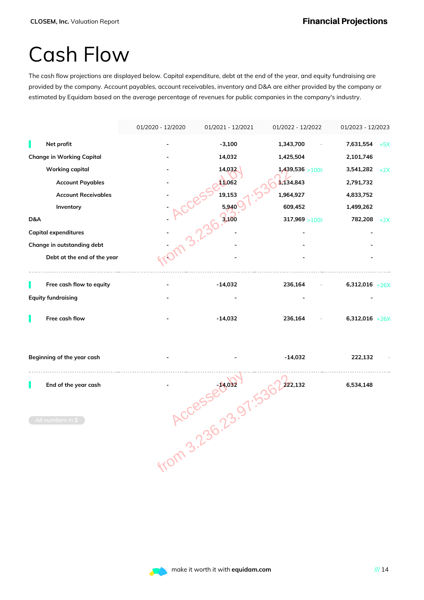### Cash Flow

The cash flow projections are displayed below. Capital expenditure, debt at the end of the year, and equity fundraising are provided by the company. Account payables, account receivables, inventory and D&A are either provided by the company or estimated by Equidam based on the average percentage of revenues for public companies in the company's industry.

|     |                                  | 01/2020 - 12/2020 | 01/2021 - 12/2021  | 01/2022 - 12/2022 | 01/2023 - 12/2023  |
|-----|----------------------------------|-------------------|--------------------|-------------------|--------------------|
|     | Net profit                       |                   | $-3,100$           | 1,343,700         | 7,631,554<br>$+5X$ |
|     | <b>Change in Working Capital</b> |                   | 14,032             | 1,425,504         | 2,101,746          |
|     | <b>Working capital</b>           |                   | 14,032             | 1,439,536 > 100   | 3,541,282<br>$+2X$ |
|     | <b>Account Payables</b>          |                   | 11,062             | 1,134,843         | 2,791,732          |
|     | <b>Account Receivables</b>       |                   | 19,153             | 1,964,927         | 4,833,752          |
|     | Inventory                        | .010 3.236.       | 5,940              | 609,452           | 1,499,262          |
| D&A |                                  |                   | 3,100              | 317,969 > 100     | 782,208<br>$+2X$   |
|     | <b>Capital expenditures</b>      |                   |                    |                   |                    |
|     | Change in outstanding debt       |                   |                    |                   |                    |
|     | Debt at the end of the year      |                   |                    |                   |                    |
|     | Free cash flow to equity         |                   | $-14,032$          | 236,164           | $6,312,016$ +26X   |
|     | <b>Equity fundraising</b>        |                   |                    |                   |                    |
|     | Free cash flow                   |                   | $-14,032$          | 236,164           | $6,312,016$ +26X   |
|     | Beginning of the year cash       |                   |                    | $-14,032$         | 222,132            |
|     | End of the year cash             |                   |                    | 222,132           | 6,534,148          |
|     | All numbers in $$$               |                   | <b>ACCESSEMARY</b> |                   |                    |

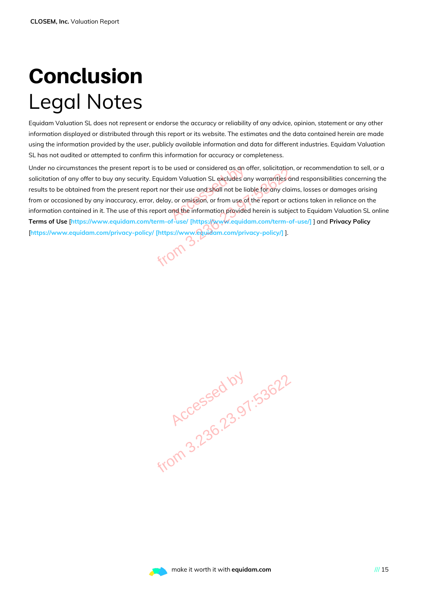### Conclusion Legal Notes

Equidam Valuation SL does not represent or endorse the accuracy or reliability of any advice, opinion, statement or any other information displayed or distributed through this report or its website. The estimates and the data contained herein are made using the information provided by the user, publicly available information and data for different industries. Equidam Valuation SL has not audited or attempted to confirm this information for accuracy or completeness.

Under no circumstances the present report is to be used or considered as an offer, solicitation, or recommendation to sell, or a solicitation of any offer to buy any security. Equidam Valuation SL excludes any warranties and responsibilities concerning the results to be obtained from the present report nor their use and shall not be liable for any claims, losses or damages arising from or occasioned by any inaccuracy, error, delay, or omission, or from use of the report or actions taken in reliance on the information contained in it. The use of this report and the information provided herein is subject to Equidam Valuation SL online **Terms of Use** [**https://www.equidam.com/term-of-use/ [https://www.equidam.com/term-of-use/]** ] and **Privacy Policy** [**https://www.equidam.com/privacy-policy/ [https://www.equidam.com/privacy-policy/]** ]. e used or considered as an a<br>am Valuation SL excludes are<br>their use and shall not be lick<br>, or omission, or from use of<br>and the information provided Franchistan Bureau of Considered as an offer, solicitation,<br>ecurity. Equidam Valuation SL excludes any warranties arent report nor their use and shall not be liable for any clair<br>extray, error, delay, or omission, or from

**Accessed by 1.53622**<br>Accessed by 1.53622

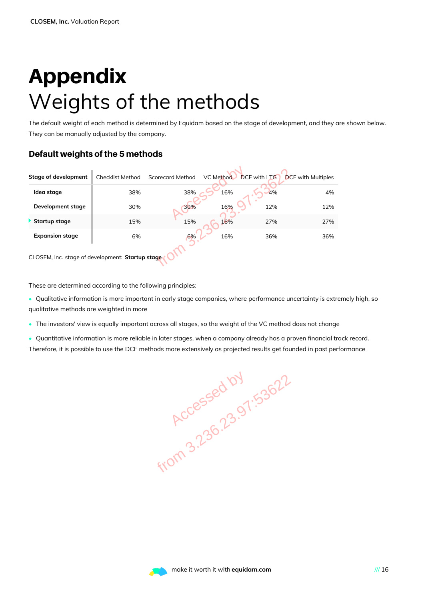### Appendix Weights of the methods

The default weight of each method is determined by Equidam based on the stage of development, and they are shown below. They can be manually adjusted by the company.

#### Default weights of the 5 methods

| <b>Stage of development</b>                                 | <b>Checklist Method</b> | <b>Scorecard Method</b> | VC Method | <b>DCF</b> with LTG | <b>DCF</b> with Multiples |
|-------------------------------------------------------------|-------------------------|-------------------------|-----------|---------------------|---------------------------|
| Idea stage                                                  | 38%                     | 38%                     | 16%       | 4%                  | 4%                        |
| Development stage                                           | 30%                     | 30%                     | 16%       | 12%                 | 12%                       |
| Startup stage                                               | 15%                     | 15%                     | 16%       | 27%                 | 27%                       |
| <b>Expansion stage</b>                                      | 6%                      | 6%                      | 16%       | 36%                 | 36%                       |
| CLOSEM, Inc. stage of development: Startup stage            |                         |                         |           |                     |                           |
| These are determined according to the following principles: |                         |                         |           |                     |                           |

These are determined according to the following principles:

- Qualitative information is more important in early stage companies, where performance uncertainty is extremely high, so qualitative methods are weighted in more
- The investors' view is equally important across all stages, so the weight of the VC method does not change
- Quantitative information is more reliable in later stages, when a company already has a proven financial track record. Therefore, it is possible to use the DCF methods more extensively as projected results get founded in past performance

**Accessed by 1.53622**<br>Accessed by 1.53622

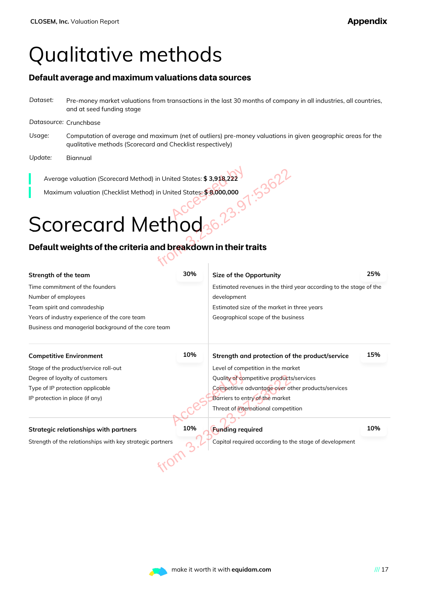### Qualitative methods

#### Default average and maximum valuations data sources

*Dataset:* Pre-money market valuations from transactions in the last 30 months of company in all industries, all countries, and at seed funding stage

#### *Datasource:* Crunchbase

- *Usage:* Computation of average and maximum (net of outliers) pre-money valuations in given geographic areas for the qualitative methods (Scorecard and Checklist respectively)
- *Update:* Biannual

## Scorecard Method

#### Default weights of the criteria and breakdown in their traits

| Average valuation (Scorecard Method) in United States: \$3,918,222                                    |                                             |                                                        |     |  |
|-------------------------------------------------------------------------------------------------------|---------------------------------------------|--------------------------------------------------------|-----|--|
| Maximum valuation (Checklist Method) in United States: \$8,000,000                                    |                                             |                                                        |     |  |
|                                                                                                       |                                             |                                                        |     |  |
| Scorecard Method                                                                                      |                                             |                                                        |     |  |
| Default weights of the criteria and breakdown in their traits                                         |                                             |                                                        |     |  |
|                                                                                                       |                                             |                                                        |     |  |
| Strength of the team                                                                                  | 30%                                         | Size of the Opportunity                                | 25% |  |
| Time commitment of the founders<br>Estimated revenues in the third year according to the stage of the |                                             |                                                        |     |  |
| Number of employees                                                                                   | development                                 |                                                        |     |  |
| Team spirit and comradeship                                                                           | Estimated size of the market in three years |                                                        |     |  |
| Years of industry experience of the core team<br>Geographical scope of the business                   |                                             |                                                        |     |  |
| Business and managerial background of the core team                                                   |                                             |                                                        |     |  |
| <b>Competitive Environment</b>                                                                        | 10%                                         | Strength and protection of the product/service         | 15% |  |
| Stage of the product/service roll-out                                                                 |                                             | Level of competition in the market                     |     |  |
| Degree of loyalty of customers                                                                        |                                             | Quality of competitive products/services               |     |  |
| Competitive advantage over other products/services<br>Type of IP protection applicable                |                                             |                                                        |     |  |
| Barriers to entry of the market<br>IP protection in place (if any)                                    |                                             |                                                        |     |  |
|                                                                                                       |                                             | Threat of international competition                    |     |  |
| <b>Strategic relationships with partners</b>                                                          | 10%                                         | <b>Funding required</b>                                | 10% |  |
|                                                                                                       |                                             |                                                        |     |  |
| Strength of the relationships with key strategic partners                                             |                                             | Capital required according to the stage of development |     |  |
|                                                                                                       |                                             |                                                        |     |  |
|                                                                                                       |                                             |                                                        |     |  |
|                                                                                                       |                                             |                                                        |     |  |

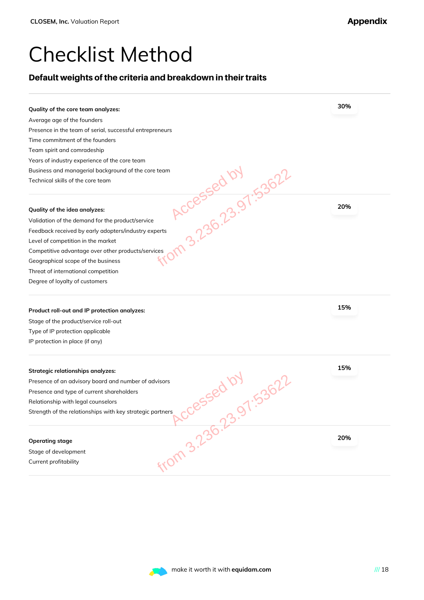### Checklist Method

#### Default weights of the criteria and breakdown in their traits

| Quality of the core team analyzes:                                            | 30% |
|-------------------------------------------------------------------------------|-----|
| Average age of the founders                                                   |     |
| Presence in the team of serial, successful entrepreneurs                      |     |
| Time commitment of the founders                                               |     |
| Team spirit and comradeship                                                   |     |
| Years of industry experience of the core team                                 |     |
| Business and managerial background of the core team                           |     |
| Accessed by .53622<br>Technical skills of the core team                       |     |
| Quality of the idea analyzes:                                                 | 20% |
| Validation of the demand for the product/service                              |     |
| Feedback received by early adopters/industry experts                          |     |
| Level of competition in the market                                            |     |
| Competitive advantage over other products/services                            |     |
| Geographical scope of the business                                            |     |
| Threat of international competition                                           |     |
| Degree of loyalty of customers                                                |     |
| Product roll-out and IP protection analyzes:                                  | 15% |
| Stage of the product/service roll-out                                         |     |
| Type of IP protection applicable                                              |     |
| IP protection in place (if any)                                               |     |
| <b>Strategic relationships analyzes:</b>                                      | 15% |
| Presence of an advisory board and number of advisors                          |     |
| Presence and type of current shareholders                                     |     |
| Relationship with legal counselors                                            |     |
| ,cessed by 53622<br>Strength of the relationships with key strategic partners |     |
|                                                                               |     |
|                                                                               |     |
| <b>Operating stage</b>                                                        | 20% |
| Stage of development                                                          |     |
| From 3.236.23.<br>Current profitability                                       |     |

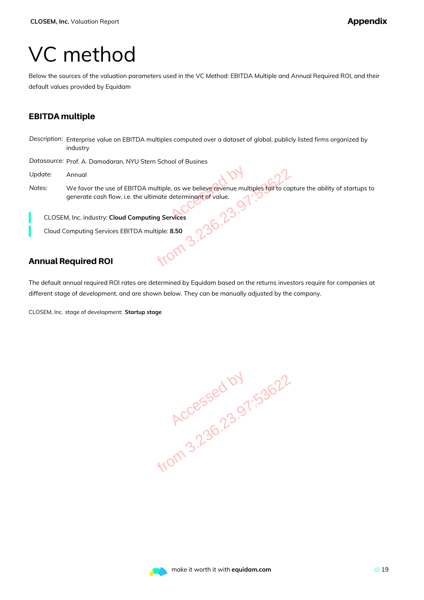### VC method

Below the sources of the valuation parameters used in the VC Method: EBITDA Multiple and Annual Required ROI, and their default values provided by Equidam

#### EBITDA multiple

*Description:* Enterprise value on EBITDA multiples computed over a dataset of global, publicly listed firms organized by industry

*Datasource:* Prof. A. Damodaran, NYU Stern School of Busines

- *Update:* Annual
- *Notes:* We favor the use of EBITDA multiple, as we believe revenue multiples fail to capture the ability of startups to generate cash flow, i.e. the ultimate determinant of value. TDA multiple, as we believe revenue multiples fail to cap<br>the ultimate determinant of value.<br>
COM COM COMPANY COMPANY CONTROLLED AND THE STATE OF COMPANY CONTROLLED AND CONTROLLED AND MULTIPLE STATE OF CONTROLLED AND CONTR

CLOSEM, Inc. industry: **Cloud Computing Services**

Cloud Computing Services EBITDA multiple: **8.50**

#### Annual Required ROI

The default annual required ROI rates are determined by Equidam based on the returns investors require for companies at different stage of development, and are shown below. They can be manually adjusted by the company.

CLOSEM, Inc. stage of development: **Startup stage**

**Accessed by 1.53622**<br>Accessed by 1.53622

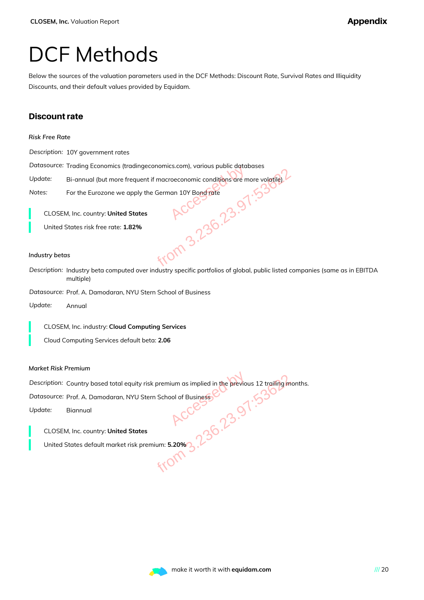### DCF Methods

Below the sources of the valuation parameters used in the DCF Methods: Discount Rate, Survival Rates and Illiquidity Discounts, and their default values provided by Equidam.

#### Discount rate

|  | Risk Free Rate |
|--|----------------|
|  |                |

*Description:* 10Y government rates

*Datasource:* Trading Economics (tradingeconomics.com), various public databases

Update: Bi-annual (but more frequent if macroeconomic conditions are more volatile)

*Notes:* For the Eurozone we apply the German 10Y Bond rate

CLOSEM, Inc. country: **United States**

United States risk free rate: **1.82%**

#### *Industry betas*

*Description:* Industry beta computed over industry specific portfolios of global, public listed companies (same as in EBITDA multiple) Accessed by from 3.236.23.97:53622

*Datasource:* Prof. A. Damodaran, NYU Stern School of Business

*Update:* Annual

CLOSEM, Inc. industry: **Cloud Computing Services**

Cloud Computing Services default beta: **2.06**

#### *Market Risk Premium*

*Description:* Country based total equity risk premium as implied in the previous 12 trailing months. Accessed by from 3.236.23.97:53622

Datasource: Prof. A. Damodaran, NYU Stern School of Business

*Update:* Biannual

CLOSEM, Inc. country: **United States**

United States default market risk premium: **5.20%**

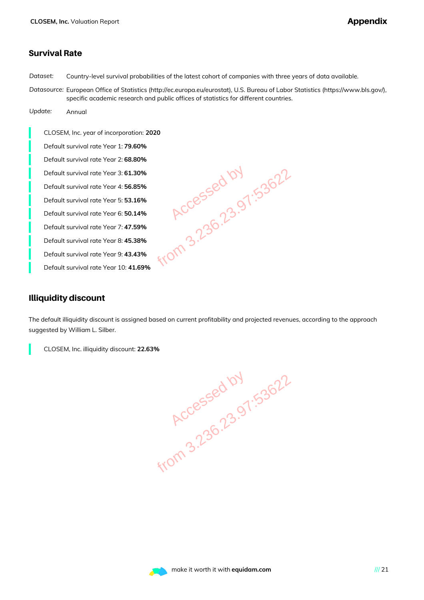#### Survival Rate

*Dataset:* Country-level survival probabilities of the latest cohort of companies with three years of data available.

*Datasource:* European Office of Statistics (http://ec.europa.eu/eurostat), U.S. Bureau of Labor Statistics (https://www.bls.gov/), specific academic research and public offices of statistics for different countries.

*Update:* Annual

CLOSEM, Inc. year of incorporation: **2020** Default survival rate Year 1: **79.60%** Default survival rate Year 2: **68.80%** Default survival rate Year 3: **61.30%** Default survival rate Year 4: **56.85%** Default survival rate Year 5: **53.16%** Default survival rate Year 6: **50.14%** Default survival rate Year 7: **47.59%** Default survival rate Year 8: **45.38%** Default survival rate Year 9: **43.43%** Default survival rate Year 10: **41.69%**

.30%<br>
.36%<br>
.16%<br>
.14%<br>
.38%<br>
.38%<br>
.43%<br>
.43%<br>
.40M<br>
.1.69%<br>
.169%<br>
.169%<br>
.169%<br>
.169%

#### Illiquidity discount

The default illiquidity discount is assigned based on current profitability and projected revenues, according to the approach suggested by William L. Silber.



**Accessed by 1.53622**<br>Accessed by 1.53622

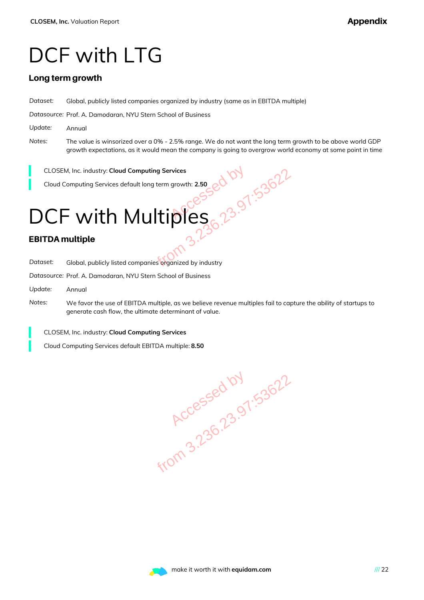### DCF with LTG

#### Long term growth

*Dataset:* Global, publicly listed companies organized by industry (same as in EBITDA multiple)

*Datasource:* Prof. A. Damodaran, NYU Stern School of Business

- *Update:* Annual
- *Notes:* The value is winsorized over a 0% 2.5% range. We do not want the long term growth to be above world GDP growth expectations, as it would mean the company is going to overgrow world economy at some point in time

CLOSEM, Inc. industry: **Cloud Computing Services**

Cloud Computing Services default long term growth: **2.50**

# DCF with Multiples omputing Services<br>
ault long term growth: 2.50<br>
Aultiples 0.23.991:53622<br>
Aultiples 0.236.23.991:53622<br>
mpanies organized by industry<br>
Mu Stern School of Business

#### EBITDA multiple

*Dataset:* Global, publicly listed companies organized by industry

*Datasource:* Prof. A. Damodaran, NYU Stern School of Business

- *Update:* Annual
- *Notes:* We favor the use of EBITDA multiple, as we believe revenue multiples fail to capture the ability of startups to generate cash flow, the ultimate determinant of value.

CLOSEM, Inc. industry: **Cloud Computing Services**

Cloud Computing Services default EBITDA multiple: **8.50**

**Accessed by 1.53622**<br>Accessed by 1.53622